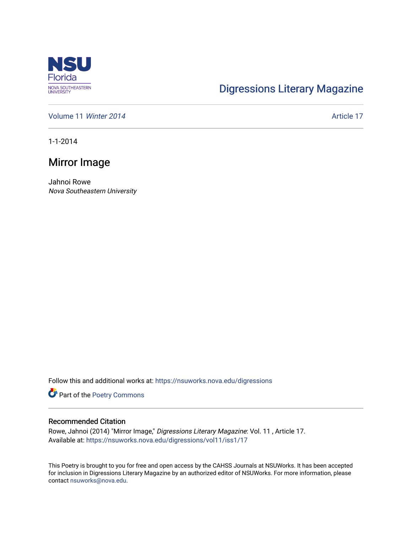

## [Digressions Literary Magazine](https://nsuworks.nova.edu/digressions)

[Volume 11](https://nsuworks.nova.edu/digressions/vol11) Winter 2014 **Article 17** Article 17

1-1-2014

## Mirror Image

Jahnoi Rowe Nova Southeastern University

Follow this and additional works at: [https://nsuworks.nova.edu/digressions](https://nsuworks.nova.edu/digressions?utm_source=nsuworks.nova.edu%2Fdigressions%2Fvol11%2Fiss1%2F17&utm_medium=PDF&utm_campaign=PDFCoverPages) 

Part of the [Poetry Commons](http://network.bepress.com/hgg/discipline/1153?utm_source=nsuworks.nova.edu%2Fdigressions%2Fvol11%2Fiss1%2F17&utm_medium=PDF&utm_campaign=PDFCoverPages) 

## Recommended Citation

Rowe, Jahnoi (2014) "Mirror Image," Digressions Literary Magazine: Vol. 11 , Article 17. Available at: [https://nsuworks.nova.edu/digressions/vol11/iss1/17](https://nsuworks.nova.edu/digressions/vol11/iss1/17?utm_source=nsuworks.nova.edu%2Fdigressions%2Fvol11%2Fiss1%2F17&utm_medium=PDF&utm_campaign=PDFCoverPages)

This Poetry is brought to you for free and open access by the CAHSS Journals at NSUWorks. It has been accepted for inclusion in Digressions Literary Magazine by an authorized editor of NSUWorks. For more information, please contact [nsuworks@nova.edu.](mailto:nsuworks@nova.edu)